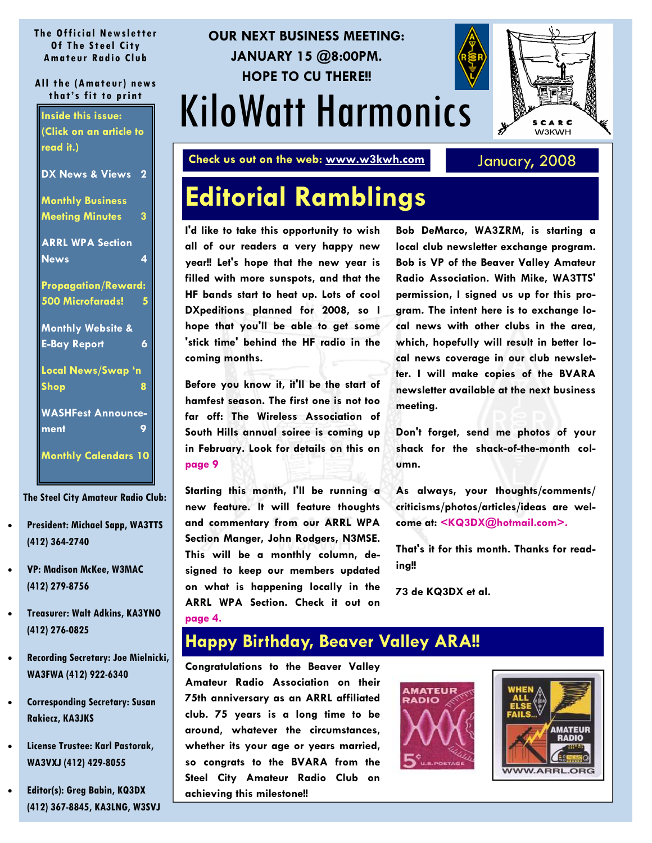#### <span id="page-0-0"></span>**The Official Newsletter Of The Steel City Amateur Radio Club**

#### **All the (Amateur) news that's fit to print**

| <b>Inside this issue:</b>                  |
|--------------------------------------------|
| (Click on an article to                    |
| read it.)                                  |
| DX News & Views<br>$\overline{\mathbf{2}}$ |
| <b>Monthly Business</b>                    |
| 3<br><b>Meeting Minutes</b>                |
|                                            |
| <b>ARRL WPA Section</b>                    |
| 4<br><b>News</b>                           |
| <b>Propagation/Reward:</b>                 |
|                                            |
| 500 Microfarads!<br>5                      |
| <b>Monthly Website &amp;</b>               |
| 6<br><b>E-Bay Report</b>                   |
|                                            |
| Local News/Swap 'n                         |
| Shop<br>8                                  |
|                                            |
| <b>WASHFest Announce-</b>                  |
| ment<br>9                                  |
| <b>Monthly Calendars 10</b>                |

**The Steel City Amateur Radio Club:** 

- **President: Michael Sapp, WA3TTS (412) 364-2740**
- **VP: Madison McKee, W3MAC (412) 279-8756**
- **Treasurer: Walt Adkins, KA3YNO (412) 276-0825**
- **Recording Secretary: Joe Mielnicki, WA3FWA (412) 922-6340**
- **Corresponding Secretary: Susan Rakiecz, KA3JKS**
- **License Trustee: Karl Pastorak, WA3VXJ (412) 429-8055**
- **Editor(s): Greg Babin, KQ3DX (412) 367-8845, KA3LNG, W3SVJ**

# KiloWatt Harmonics **OUR NEXT BUSINESS MEETING: JANUARY 15 @8:00PM. HOPE TO CU THERE!!**

**Check us out on the web: www.w3kwh.com** January, 2008

# **Editorial Ramblings**

**I'd like to take this opportunity to wish all of our readers a very happy new year!! Let's hope that the new year is filled with more sunspots, and that the HF bands start to heat up. Lots of cool DXpeditions planned for 2008, so I hope that you'll be able to get some 'stick time' behind the HF radio in the coming months.** 

**Before you know it, it'll be the start of hamfest season. The first one is not too far off: The Wireless Association of South Hills annual soiree is coming up in February. Look for details on this on [page 9](#page-8-0)** 

**Starting this month, I'll be running a new feature. It will feature thoughts and commentary from our ARRL WPA Section Manger, John Rodgers, N3MSE. This will be a monthly column, designed to keep our members updated on what is happening locally in the ARRL WPA Section. Check it out on [page 4.](#page-3-0)** 

**Bob DeMarco, WA3ZRM, is starting a local club newsletter exchange program. Bob is VP of the Beaver Valley Amateur Radio Association. With Mike, WA3TTS' permission, I signed us up for this program. The intent here is to exchange local news with other clubs in the area, which, hopefully will result in better local news coverage in our club newsletter. I will make copies of the BVARA newsletter available at the next business meeting.** 

**Don't forget, send me photos of your shack for the shack-of-the-month column.** 

**As always, your thoughts/comments/ criticisms/photos/articles/ideas are welcome at: <KQ3DX@hotmail.com>.**

**That's it for this month. Thanks for reading!!** 

**73 de KQ3DX et al.** 

#### **Happy Birthday, Beaver Valley ARA!!**

**Congratulations to the Beaver Valley Amateur Radio Association on their 75th anniversary as an ARRL affiliated club. 75 years is a long time to be around, whatever the circumstances, whether its your age or years married, so congrats to the BVARA from the Steel City Amateur Radio Club on achieving this milestone!!** 





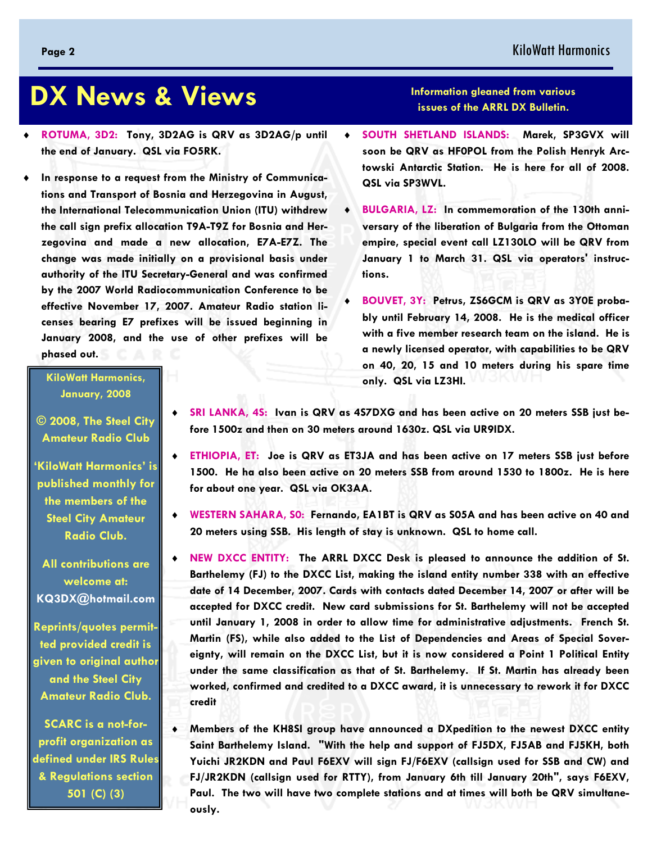# <span id="page-1-0"></span> **DX News & Views**

- ♦ **ROTUMA, 3D2: Tony, 3D2AG is QRV as 3D2AG/p until the end of January. QSL via FO5RK.**
- In response to a request from the Ministry of Communica**tions and Transport of Bosnia and Herzegovina in August, the International Telecommunication Union (ITU) withdrew the call sign prefix allocation T9A-T9Z for Bosnia and Herzegovina and made a new allocation, E7A-E7Z. The change was made initially on a provisional basis under authority of the ITU Secretary-General and was confirmed by the 2007 World Radiocommunication Conference to be effective November 17, 2007. Amateur Radio station licenses bearing E7 prefixes will be issued beginning in January 2008, and the use of other prefixes will be phased out.**

#### **KiloWatt Harmonics, January, 2008**

**© 2008, The Steel City Amateur Radio Club** 

**'KiloWatt Harmonics' is published monthly for the members of the Steel City Amateur Radio Club.** 

**All contributions are welcome at: KQ3DX@hotmail.com**

**Reprints/quotes permitted provided credit is given to original author and the Steel City Amateur Radio Club.** 

**SCARC is a not-forprofit organization as defined under IRS Rules & Regulations section 501 (C) (3)** 

- SRI LANKA, 4S: Ivan is QRV as 4S7DXG and has been active on 20 meters SSB just be**fore 1500z and then on 30 meters around 1630z. QSL via UR9IDX.**
- ♦ **ETHIOPIA, ET: Joe is QRV as ET3JA and has been active on 17 meters SSB just before 1500. He ha also been active on 20 meters SSB from around 1530 to 1800z. He is here for about one year. QSL via OK3AA.**
- ♦ **WESTERN SAHARA, S0: Fernando, EA1BT is QRV as S05A and has been active on 40 and 20 meters using SSB. His length of stay is unknown. QSL to home call.**
- ♦ **NEW DXCC ENTITY: The ARRL DXCC Desk is pleased to announce the addition of St. Barthelemy (FJ) to the DXCC List, making the island entity number 338 with an effective date of 14 December, 2007. Cards with contacts dated December 14, 2007 or after will be accepted for DXCC credit. New card submissions for St. Barthelemy will not be accepted until January 1, 2008 in order to allow time for administrative adjustments. French St. Martin (FS), while also added to the List of Dependencies and Areas of Special Sovereignty, will remain on the DXCC List, but it is now considered a Point 1 Political Entity under the same classification as that of St. Barthelemy. If St. Martin has already been worked, confirmed and credited to a DXCC award, it is unnecessary to rework it for DXCC credit**
- ♦ **Members of the KH8SI group have announced a DXpedition to the newest DXCC entity Saint Barthelemy Island. "With the help and support of FJ5DX, FJ5AB and FJ5KH, both Yuichi JR2KDN and Paul F6EXV will sign FJ/F6EXV (callsign used for SSB and CW) and FJ/JR2KDN (callsign used for RTTY), from January 6th till January 20th", says F6EXV, Paul. The two will have two complete stations and at times will both be QRV simultaneously.**

#### **Information gleaned from various issues of the ARRL DX Bulletin.**

- ♦ **SOUTH SHETLAND ISLANDS: Marek, SP3GVX will soon be QRV as HF0POL from the Polish Henryk Arctowski Antarctic Station. He is here for all of 2008. QSL via SP3WVL.**
- **BULGARIA, LZ: In commemoration of the 130th anniversary of the liberation of Bulgaria from the Ottoman empire, special event call LZ130LO will be QRV from January 1 to March 31. QSL via operators' instructions.**
- BOUVET, 3Y: Petrus, ZS6GCM is QRV as 3Y0E proba**bly until February 14, 2008. He is the medical officer with a five member research team on the island. He is a newly licensed operator, with capabilities to be QRV on 40, 20, 15 and 10 meters during his spare time only. QSL via LZ3HI.**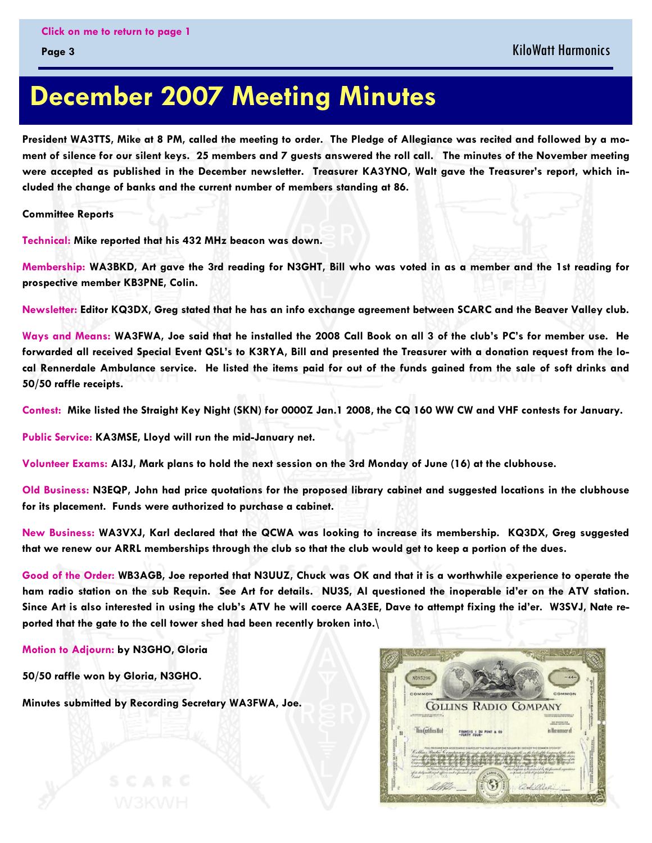# <span id="page-2-0"></span> **December 2007 Meeting Minutes**

**President WA3TTS, Mike at 8 PM, called the meeting to order. The Pledge of Allegiance was recited and followed by a moment of silence for our silent keys. 25 members and 7 guests answered the roll call. The minutes of the November meeting were accepted as published in the December newsletter. Treasurer KA3YNO, Walt gave the Treasurer's report, which included the change of banks and the current number of members standing at 86.** 

**Committee Reports** 

**Technical: Mike reported that his 432 MHz beacon was down.** 

**Membership: WA3BKD, Art gave the 3rd reading for N3GHT, Bill who was voted in as a member and the 1st reading for prospective member KB3PNE, Colin.** 

**Newsletter: Editor KQ3DX, Greg stated that he has an info exchange agreement between SCARC and the Beaver Valley club.** 

**Ways and Means: WA3FWA, Joe said that he installed the 2008 Call Book on all 3 of the club's PC's for member use. He forwarded all received Special Event QSL's to K3RYA, Bill and presented the Treasurer with a donation request from the local Rennerdale Ambulance service. He listed the items paid for out of the funds gained from the sale of soft drinks and 50/50 raffle receipts.** 

**Contest: Mike listed the Straight Key Night (SKN) for 0000Z Jan.1 2008, the CQ 160 WW CW and VHF contests for January.** 

**Public Service: KA3MSE, Lloyd will run the mid-January net.** 

**Volunteer Exams: AI3J, Mark plans to hold the next session on the 3rd Monday of June (16) at the clubhouse.** 

**Old Business: N3EQP, John had price quotations for the proposed library cabinet and suggested locations in the clubhouse for its placement. Funds were authorized to purchase a cabinet.** 

**New Business: WA3VXJ, Karl declared that the QCWA was looking to increase its membership. KQ3DX, Greg suggested that we renew our ARRL memberships through the club so that the club would get to keep a portion of the dues.** 

**Good of the Order: WB3AGB, Joe reported that N3UUZ, Chuck was OK and that it is a worthwhile experience to operate the ham radio station on the sub Requin. See Art for details. NU3S, Al questioned the inoperable id'er on the ATV station. Since Art is also interested in using the club's ATV he will coerce AA3EE, Dave to attempt fixing the id'er. W3SVJ, Nate reported that the gate to the cell tower shed had been recently broken into.\** 

**Motion to Adjourn: by N3GHO, Gloria** 

**50/50 raffle won by Gloria, N3GHO.** 

**Minutes submitted by Recording Secretary WA3FWA, Joe.** 

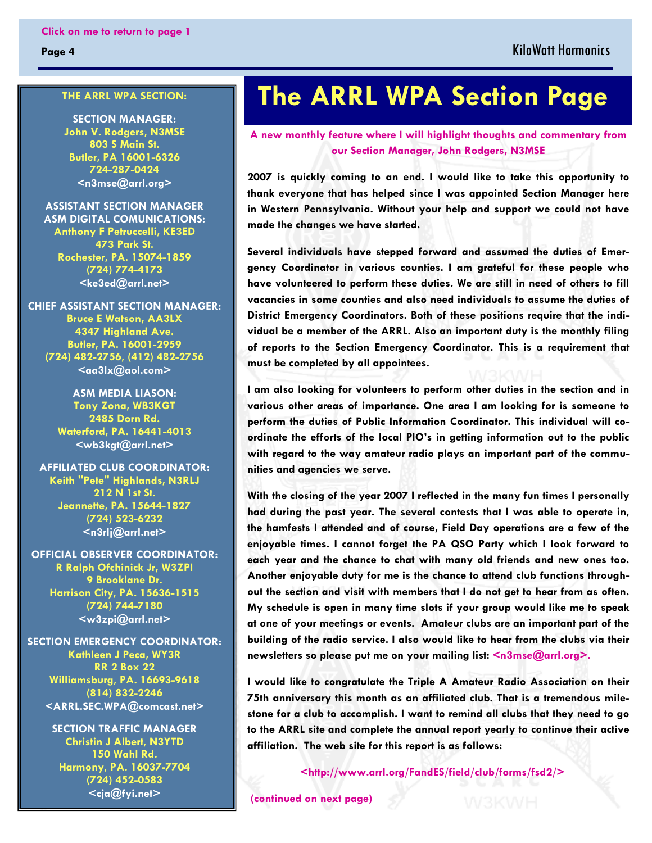<span id="page-3-0"></span>**Page 4** 

#### **THE ARRL WPA SECTION:**

**SECTION MANAGER: John V. Rodgers, N3MSE 803 S Main St. Butler, PA 16001-6326 724-287-0424 <n3mse@arrl.org>**

**ASSISTANT SECTION MANAGER ASM DIGITAL COMUNICATIONS: Anthony F Petruccelli, KE3ED 473 Park St. Rochester, PA. 15074-1859 (724) 774-4173 <ke3ed@arrl.net>** 

**CHIEF ASSISTANT SECTION MANAGER: Bruce E Watson, AA3LX 4347 Highland Ave. Butler, PA. 16001-2959 (724) 482-2756, (412) 482-2756**   $\leq$ aa $3$ lx $@$ aol.com $>$ 

> **ASM MEDIA LIASON: Tony Zona, WB3KGT 2485 Dorn Rd. Waterford, PA. 16441-4013 <wb3kgt@arrl.net>**

**AFFILIATED CLUB COORDINATOR: Keith "Pete" Highlands, N3RLJ 212 N 1st St. Jeannette, PA. 15644-1827 (724) 523-6232 <n3rlj@arrl.net>** 

**OFFICIAL OBSERVER COORDINATOR: R Ralph Ofchinick Jr, W3ZPI 9 Brooklane Dr. Harrison City, PA. 15636-1515 (724) 744-7180 <w3zpi@arrl.net>** 

**SECTION EMERGENCY COORDINATOR: Kathleen J Peca, WY3R RR 2 Box 22 Williamsburg, PA. 16693-9618 (814) 832-2246 <ARRL.SEC.WPA@comcast.net>**

> **SECTION TRAFFIC MANAGER Christin J Albert, N3YTD 150 Wahl Rd. Harmony, PA. 16037-7704 (724) 452-0583 <cja@fyi.net>**

# **The ARRL WPA Section Page**

**A new monthly feature where I will highlight thoughts and commentary from our Section Manager, John Rodgers, N3MSE** 

**2007 is quickly coming to an end. I would like to take this opportunity to thank everyone that has helped since I was appointed Section Manager here in Western Pennsylvania. Without your help and support we could not have made the changes we have started.** 

**Several individuals have stepped forward and assumed the duties of Emergency Coordinator in various counties. I am grateful for these people who have volunteered to perform these duties. We are still in need of others to fill vacancies in some counties and also need individuals to assume the duties of District Emergency Coordinators. Both of these positions require that the individual be a member of the ARRL. Also an important duty is the monthly filing of reports to the Section Emergency Coordinator. This is a requirement that must be completed by all appointees.** 

**I am also looking for volunteers to perform other duties in the section and in various other areas of importance. One area I am looking for is someone to perform the duties of Public Information Coordinator. This individual will coordinate the efforts of the local PIO's in getting information out to the public with regard to the way amateur radio plays an important part of the communities and agencies we serve.** 

**With the closing of the year 2007 I reflected in the many fun times I personally had during the past year. The several contests that I was able to operate in, the hamfests I attended and of course, Field Day operations are a few of the enjoyable times. I cannot forget the PA QSO Party which I look forward to each year and the chance to chat with many old friends and new ones too. Another enjoyable duty for me is the chance to attend club functions throughout the section and visit with members that I do not get to hear from as often. My schedule is open in many time slots if your group would like me to speak at one of your meetings or events. Amateur clubs are an important part of the building of the radio service. I also would like to hear from the clubs via their newsletters so please put me on your mailing list: <n3mse@arrl.org>.**

**I would like to congratulate the Triple A Amateur Radio Association on their 75th anniversary this month as an affiliated club. That is a tremendous milestone for a club to accomplish. I want to remind all clubs that they need to go to the ARRL site and complete the annual report yearly to continue their active affiliation. The web site for this report is as follows:** 

 **<http://www.arrl.org/FandES/field/club/forms/fsd2/>** 

 **[\(continued on next page\)](#page-4-0)**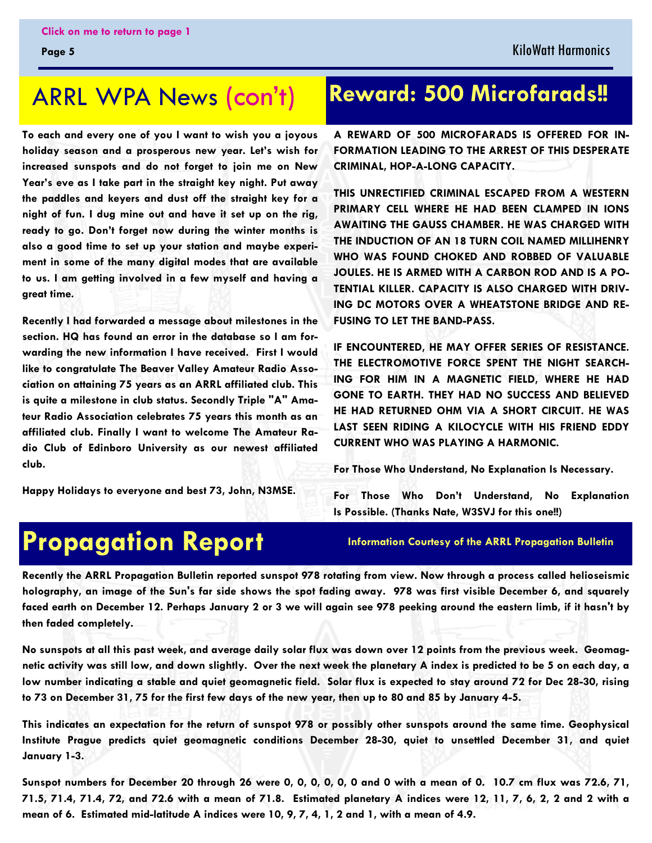### <span id="page-4-0"></span>ARRL WPA News (con't)

**To each and every one of you I want to wish you a joyous holiday season and a prosperous new year. Let's wish for increased sunspots and do not forget to join me on New Year's eve as I take part in the straight key night. Put away the paddles and keyers and dust off the straight key for a night of fun. I dug mine out and have it set up on the rig, ready to go. Don't forget now during the winter months is also a good time to set up your station and maybe experiment in some of the many digital modes that are available to us. I am getting involved in a few myself and having a great time.** 

**Recently I had forwarded a message about milestones in the section. HQ has found an error in the database so I am forwarding the new information I have received. First I would like to congratulate The Beaver Valley Amateur Radio Association on attaining 75 years as an ARRL affiliated club. This is quite a milestone in club status. Secondly Triple "A" Amateur Radio Association celebrates 75 years this month as an affiliated club. Finally I want to welcome The Amateur Radio Club of Edinboro University as our newest affiliated club.** 

**Happy Holidays to everyone and best 73, John, N3MSE.** 

### **Reward: 500 Microfarads!!**

**A REWARD OF 500 MICROFARADS IS OFFERED FOR IN-FORMATION LEADING TO THE ARREST OF THIS DESPERATE CRIMINAL, HOP-A-LONG CAPACITY.** 

**THIS UNRECTIFIED CRIMINAL ESCAPED FROM A WESTERN PRIMARY CELL WHERE HE HAD BEEN CLAMPED IN IONS AWAITING THE GAUSS CHAMBER. HE WAS CHARGED WITH THE INDUCTION OF AN 18 TURN COIL NAMED MILLIHENRY WHO WAS FOUND CHOKED AND ROBBED OF VALUABLE JOULES. HE IS ARMED WITH A CARBON ROD AND IS A PO-TENTIAL KILLER. CAPACITY IS ALSO CHARGED WITH DRIV-ING DC MOTORS OVER A WHEATSTONE BRIDGE AND RE-FUSING TO LET THE BAND-PASS.** 

**IF ENCOUNTERED, HE MAY OFFER SERIES OF RESISTANCE. THE ELECTROMOTIVE FORCE SPENT THE NIGHT SEARCH-ING FOR HIM IN A MAGNETIC FIELD, WHERE HE HAD GONE TO EARTH. THEY HAD NO SUCCESS AND BELIEVED HE HAD RETURNED OHM VIA A SHORT CIRCUIT. HE WAS LAST SEEN RIDING A KILOCYCLE WITH HIS FRIEND EDDY CURRENT WHO WAS PLAYING A HARMONIC.** 

**For Those Who Understand, No Explanation Is Necessary.** 

**For Those Who Don't Understand, No Explanation Is Possible. (Thanks Nate, W3SVJ for this one!!)** 

# **Propagation Report**

**Information Courtesy of the ARRL Propagation Bulletin** 

**Recently the ARRL Propagation Bulletin reported sunspot 978 rotating from view. Now through a process called helioseismic holography, an image of the Sun's far side shows the spot fading away. 978 was first visible December 6, and squarely faced earth on December 12. Perhaps January 2 or 3 we will again see 978 peeking around the eastern limb, if it hasn't by then faded completely.**

**No sunspots at all this past week, and average daily solar flux was down over 12 points from the previous week. Geomagnetic activity was still low, and down slightly. Over the next week the planetary A index is predicted to be 5 on each day, a low number indicating a stable and quiet geomagnetic field. Solar flux is expected to stay around 72 for Dec 28-30, rising to 73 on December 31, 75 for the first few days of the new year, then up to 80 and 85 by January 4-5.** 

**This indicates an expectation for the return of sunspot 978 or possibly other sunspots around the same time. Geophysical Institute Prague predicts quiet geomagnetic conditions December 28-30, quiet to unsettled December 31, and quiet January 1-3.** 

**Sunspot numbers for December 20 through 26 were 0, 0, 0, 0, 0, 0 and 0 with a mean of 0. 10.7 cm flux was 72.6, 71, 71.5, 71.4, 71.4, 72, and 72.6 with a mean of 71.8. Estimated planetary A indices were 12, 11, 7, 6, 2, 2 and 2 with a mean of 6. Estimated mid-latitude A indices were 10, 9, 7, 4, 1, 2 and 1, with a mean of 4.9.**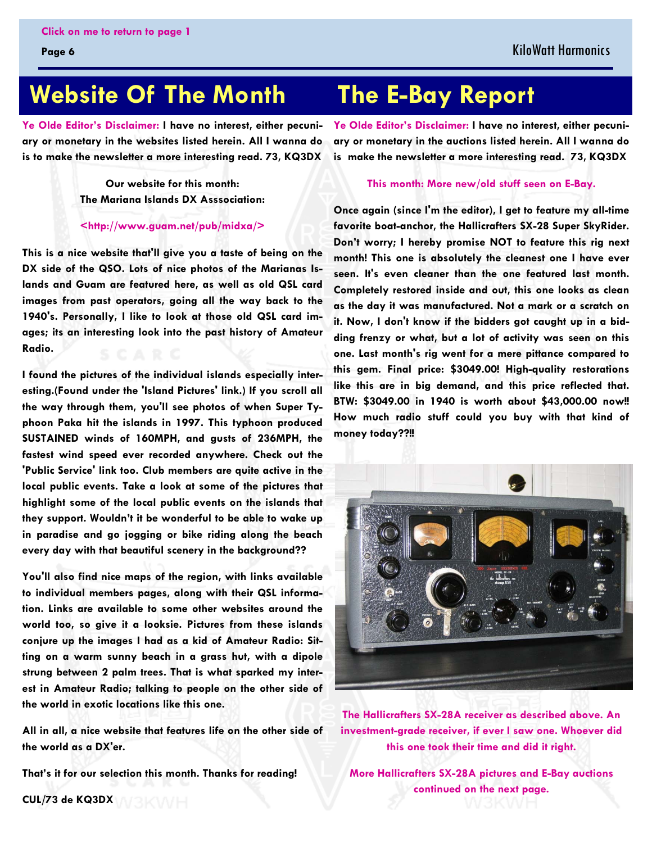#### KiloWatt Harmonics

# <span id="page-5-0"></span> **Website Of The Month The E-Bay Report**

**Ye Olde Editor's Disclaimer: I have no interest, either pecuniary or monetary in the websites listed herein. All I wanna do is to make the newsletter a more interesting read. 73, KQ3DX** 

> **Our website for this month: The Mariana Islands DX Asssociation:**

#### **<http://www.guam.net/pub/midxa/>**

**This is a nice website that'll give you a taste of being on the DX side of the QSO. Lots of nice photos of the Marianas Islands and Guam are featured here, as well as old QSL card images from past operators, going all the way back to the 1940's. Personally, I like to look at those old QSL card images; its an interesting look into the past history of Amateur Radio.** 

**I found the pictures of the individual islands especially interesting.(Found under the 'Island Pictures' link.) If you scroll all the way through them, you'll see photos of when Super Typhoon Paka hit the islands in 1997. This typhoon produced SUSTAINED winds of 160MPH, and gusts of 236MPH, the fastest wind speed ever recorded anywhere. Check out the 'Public Service' link too. Club members are quite active in the local public events. Take a look at some of the pictures that highlight some of the local public events on the islands that they support. Wouldn't it be wonderful to be able to wake up in paradise and go jogging or bike riding along the beach every day with that beautiful scenery in the background??** 

**You'll also find nice maps of the region, with links available to individual members pages, along with their QSL information. Links are available to some other websites around the world too, so give it a looksie. Pictures from these islands conjure up the images I had as a kid of Amateur Radio: Sitting on a warm sunny beach in a grass hut, with a dipole strung between 2 palm trees. That is what sparked my interest in Amateur Radio; talking to people on the other side of the world in exotic locations like this one.** 

**All in all, a nice website that features life on the other side of the world as a DX'er.** 

**That's it for our selection this month. Thanks for reading!** 

**Ye Olde Editor's Disclaimer: I have no interest, either pecuniary or monetary in the auctions listed herein. All I wanna do is make the newsletter a more interesting read. 73, KQ3DX** 

#### **This month: More new/old stuff seen on E-Bay.**

**Once again (since I'm the editor), I get to feature my all-time favorite boat-anchor, the Hallicrafters SX-28 Super SkyRider. Don't worry; I hereby promise NOT to feature this rig next month! This one is absolutely the cleanest one I have ever seen. It's even cleaner than the one featured last month. Completely restored inside and out, this one looks as clean as the day it was manufactured. Not a mark or a scratch on it. Now, I don't know if the bidders got caught up in a bidding frenzy or what, but a lot of activity was seen on this one. Last month's rig went for a mere pittance compared to this gem. Final price: \$3049.00! High-quality restorations like this are in big demand, and this price reflected that. BTW: \$3049.00 in 1940 is worth about \$43,000.00 now!! How much radio stuff could you buy with that kind of money today??!!** 



**The Hallicrafters SX-28A receiver as described above. An investment-grade receiver, if ever I saw one. Whoever did this one took their time and did it right.** 

**[More Hallicrafters SX-28A pictures and E-Bay auctions](#page-6-0) continued on the next page.** 

**CUL/73 de KQ3DX**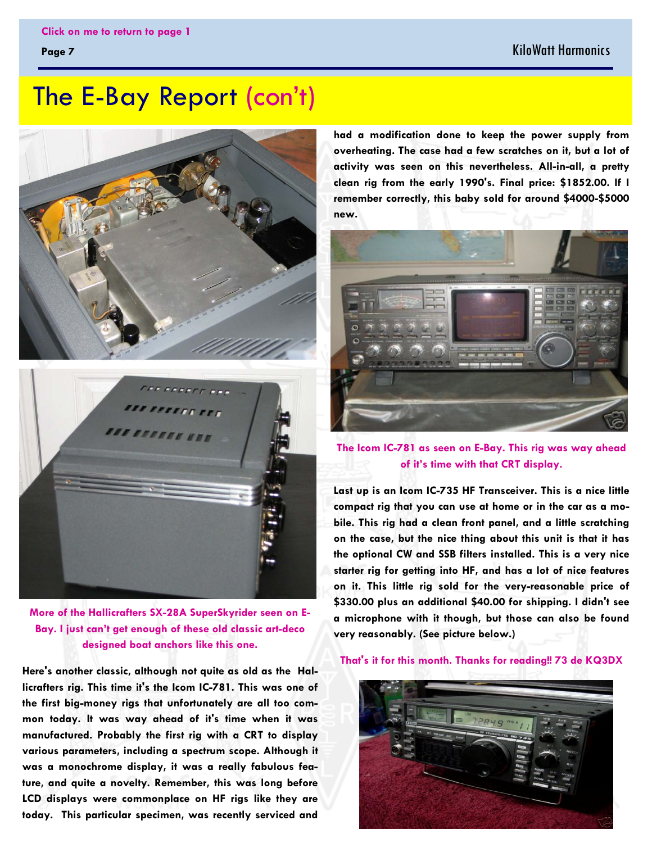#### KiloWatt Harmonics

## <span id="page-6-0"></span>The E-Bay Report (con't)



**More of the Hallicrafters SX-28A SuperSkyrider seen on E-Bay. I just can't get enough of these old classic art-deco designed boat anchors like this one.** 

**Here's another classic, although not quite as old as the Hallicrafters rig. This time it's the Icom IC-781. This was one of the first big-money rigs that unfortunately are all too common today. It was way ahead of it's time when it was manufactured. Probably the first rig with a CRT to display various parameters, including a spectrum scope. Although it was a monochrome display, it was a really fabulous feature, and quite a novelty. Remember, this was long before LCD displays were commonplace on HF rigs like they are today. This particular specimen, was recently serviced and** 

**had a modification done to keep the power supply from overheating. The case had a few scratches on it, but a lot of activity was seen on this nevertheless. All-in-all, a pretty clean rig from the early 1990's. Final price: \$1852.00. If I remember correctly, this baby sold for around \$4000-\$5000 new.** 



**The Icom IC-781 as seen on E-Bay. This rig was way ahead of it's time with that CRT display.** 

**Last up is an Icom IC-735 HF Transceiver. This is a nice little compact rig that you can use at home or in the car as a mobile. This rig had a clean front panel, and a little scratching on the case, but the nice thing about this unit is that it has the optional CW and SSB filters installed. This is a very nice starter rig for getting into HF, and has a lot of nice features on it. This little rig sold for the very-reasonable price of \$330.00 plus an additional \$40.00 for shipping. I didn't see a microphone with it though, but those can also be found very reasonably. (See picture below.)** 

#### **That's it for this month. Thanks for reading!! 73 de KQ3DX**

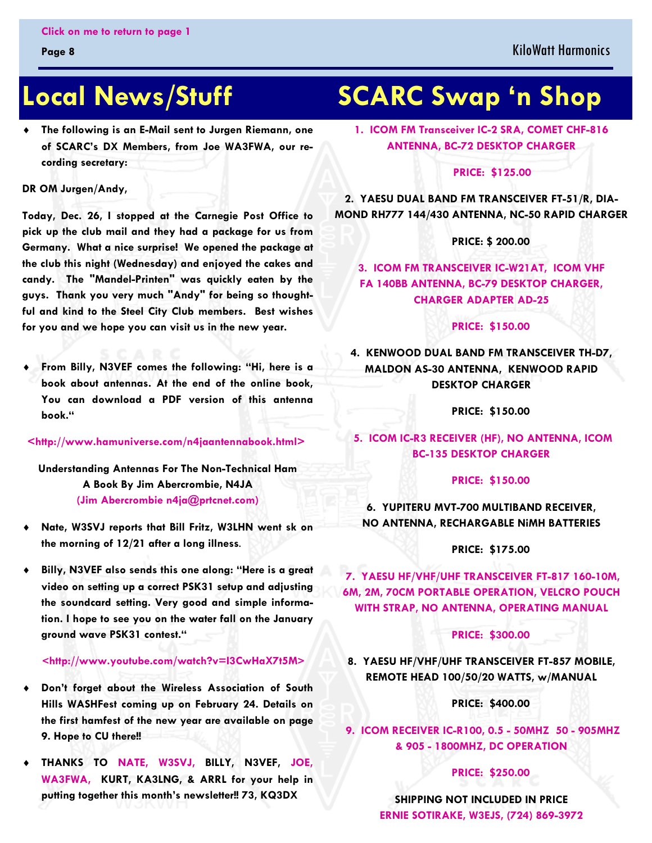The following is an E-Mail sent to Jurgen Riemann, one **of SCARC's DX Members, from Joe WA3FWA, our recording secretary:** 

**DR OM Jurgen/Andy,** 

**Today, Dec. 26, I stopped at the Carnegie Post Office to pick up the club mail and they had a package for us from Germany. What a nice surprise! We opened the package at the club this night (Wednesday) and enjoyed the cakes and candy. The "Mandel-Printen" was quickly eaten by the guys. Thank you very much "Andy" for being so thoughtful and kind to the Steel City Club members. Best wishes for you and we hope you can visit us in the new year.** 

♦ **From Billy, N3VEF comes the following: "Hi, here is a book about antennas. At the end of the online book, You can download a PDF version of this antenna book."** 

#### **<http://www.hamuniverse.com/n4jaantennabook.html>**

**Understanding Antennas For The Non-Technical Ham A Book By Jim Abercrombie, N4JA (Jim Abercrombie n4ja@prtcnet.com)**

- Nate, W3SVJ reports that Bill Fritz, W3LHN went sk on **the morning of 12/21 after a long illness**.
- Billy, N3VEF also sends this one along: "Here is a great **video on setting up a correct PSK31 setup and adjusting the soundcard setting. Very good and simple information. I hope to see you on the water fall on the January ground wave PSK31 contest."**

#### **<http://www.youtube.com/watch?v=I3CwHaX7t5M>**

- Don't forget about the Wireless Association of South **Hills WASHFest coming up on February 24. Details on the first hamfest of the new year are available on page 9. Hope to CU there!!**
- ♦ **THANKS TO NATE, W3SVJ, BILLY, N3VEF, JOE, WA3FWA, KURT, KA3LNG, & ARRL for your help in putting together this month's newsletter!! 73, KQ3DX**

# <span id="page-7-0"></span>**Local News/Stuff SCARC Swap 'n Shop**

**1. ICOM FM Transceiver IC-2 SRA, COMET CHF-816 ANTENNA, BC-72 DESKTOP CHARGER** 

#### **PRICE: \$125.00**

**2. YAESU DUAL BAND FM TRANSCEIVER FT-51/R, DIA-MOND RH777 144/430 ANTENNA, NC-50 RAPID CHARGER** 

 **PRICE: \$ 200.00** 

**3. ICOM FM TRANSCEIVER IC-W21AT, ICOM VHF FA 140BB ANTENNA, BC-79 DESKTOP CHARGER, CHARGER ADAPTER AD-25** 

#### **PRICE: \$150.00**

**4. KENWOOD DUAL BAND FM TRANSCEIVER TH-D7, MALDON AS-30 ANTENNA, KENWOOD RAPID DESKTOP CHARGER** 

 **PRICE: \$150.00** 

**5. ICOM IC-R3 RECEIVER (HF), NO ANTENNA, ICOM BC-135 DESKTOP CHARGER** 

#### **PRICE: \$150.00**

**6. YUPITERU MVT-700 MULTIBAND RECEIVER, NO ANTENNA, RECHARGABLE NiMH BATTERIES** 

#### **PRICE: \$175.00**

**7. YAESU HF/VHF/UHF TRANSCEIVER FT-817 160-10M, 6M, 2M, 70CM PORTABLE OPERATION, VELCRO POUCH WITH STRAP, NO ANTENNA, OPERATING MANUAL** 

#### **PRICE: \$300.00**

**8. YAESU HF/VHF/UHF TRANSCEIVER FT-857 MOBILE, REMOTE HEAD 100/50/20 WATTS, w/MANUAL** 

#### **PRICE: \$400.00**

**9. ICOM RECEIVER IC-R100, 0.5 - 50MHZ 50 - 905MHZ & 905 - 1800MHZ, DC OPERATION** 

#### **PRICE: \$250.00**

**SHIPPING NOT INCLUDED IN PRICE ERNIE SOTIRAKE, W3EJS, (724) 869-3972**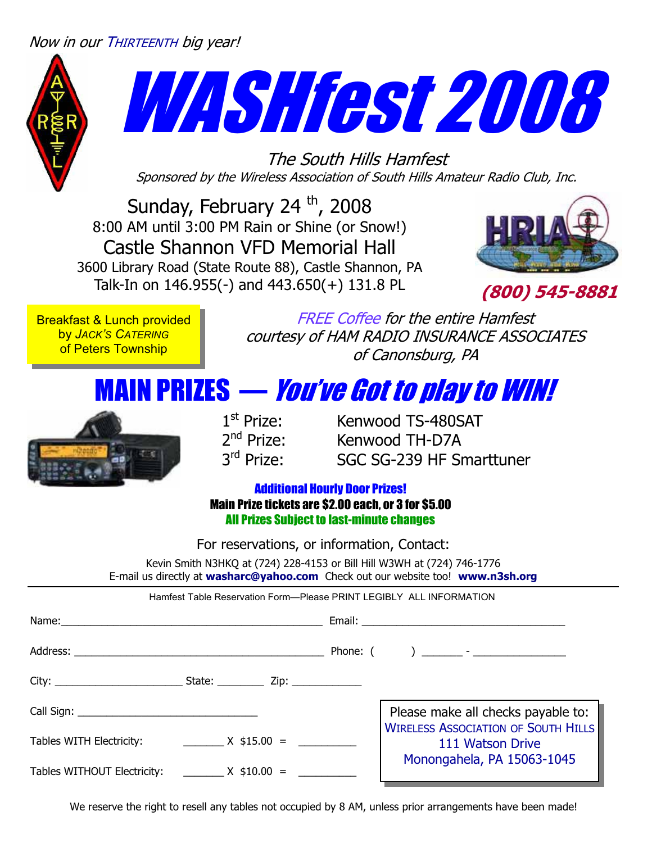#### <span id="page-8-0"></span>Now in our THIRTEENTH big year!



# WASHfest 2008

The South Hills Hamfest Sponsored by the Wireless Association of South Hills Amateur Radio Club, Inc.

Sunday, February 24 $th$ , 2008 8:00 AM until 3:00 PM Rain or Shine (or Snow!) Castle Shannon VFD Memorial Hall 3600 Library Road (State Route 88), Castle Shannon, PA Talk-In on 146.955(-) and 443.650(+) 131.8 PL



**(800) 545-8881**

Breakfast & Lunch provided by *JACK'S CATERING* of Peters Township

FREE Coffee for the entire Hamfest courtesy of HAM RADIO INSURANCE ASSOCIATES of Canonsburg, PA

# MAIN PRIZES — You've Got to play to WIN!



 $1^{\text{st}}$  Prize: Kenwood TS-480SAT<br> $2^{\text{nd}}$  Prize: Kenwood TH-D7A 2<sup>nd</sup> Prize: Kenwood TH-D7A<br>3<sup>rd</sup> Prize: SGC SG-239 HF SI SGC SG-239 HF Smarttuner

#### Additional Hourly Door Prizes! Main Prize tickets are \$2.00 each, or 3 for \$5.00 All Prizes Subject to last-minute changes

For reservations, or information, Contact:

Kevin Smith N3HKQ at (724) 228-4153 or Bill Hill W3WH at (724) 746-1776 E-mail us directly at **washarc@yahoo.com** Check out our website too! **www.n3sh.org**

Hamfest Table Reservation Form—Please PRINT LEGIBLY ALL INFORMATION

|                                                    |  | Please make all checks payable to:                             |
|----------------------------------------------------|--|----------------------------------------------------------------|
| Tables WITH Electricity: $\frac{1}{2}$ X \$15.00 = |  | <b>WIRELESS ASSOCIATION OF SOUTH HILLS</b><br>111 Watson Drive |
| Tables WITHOUT Electricity: ________ X \$10.00 =   |  | Monongahela, PA 15063-1045                                     |

We reserve the right to resell any tables not occupied by 8 AM, unless prior arrangements have been made!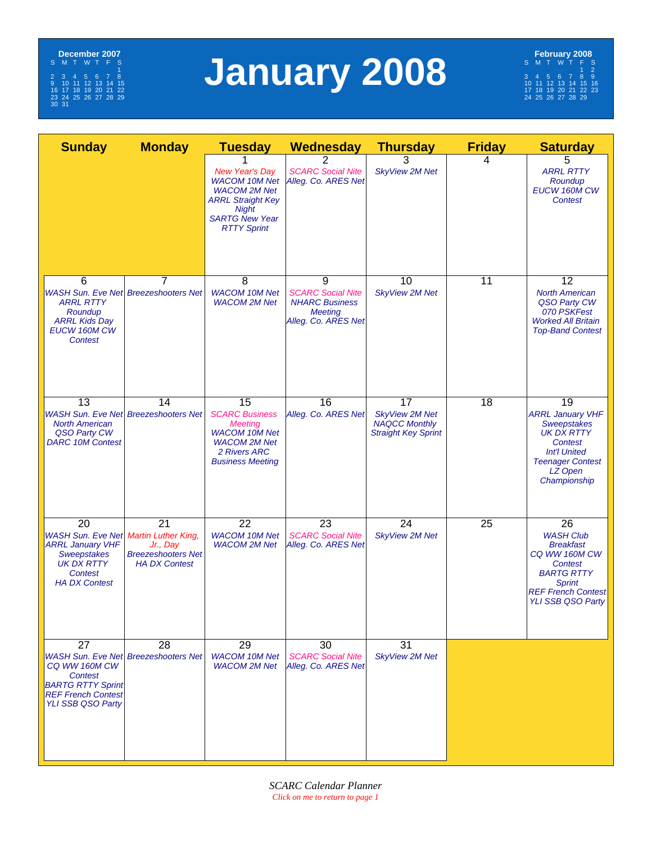<span id="page-9-0"></span>

# **January 2008**



| <b>Sunday</b>                                                                                                                                  | <b>Monday</b>                                                                                     | <b>Tuesday</b>                                                                                                                                                  | <b>Wednesday</b>                                                                                | <b>Thursday</b>                                                                   | <b>Friday</b>   | <b>Saturday</b>                                                                                                                                                       |
|------------------------------------------------------------------------------------------------------------------------------------------------|---------------------------------------------------------------------------------------------------|-----------------------------------------------------------------------------------------------------------------------------------------------------------------|-------------------------------------------------------------------------------------------------|-----------------------------------------------------------------------------------|-----------------|-----------------------------------------------------------------------------------------------------------------------------------------------------------------------|
|                                                                                                                                                |                                                                                                   | <b>New Year's Day</b><br><b>WACOM 10M Net</b><br><b>WACOM 2M Net</b><br><b>ARRL Straight Key</b><br><b>Night</b><br><b>SARTG New Year</b><br><b>RTTY Sprint</b> | <b>SCARC Social Nite</b><br>Alleg. Co. ARES Net                                                 | 3<br><b>SkyView 2M Net</b>                                                        | 4               | 5<br><b>ARRL RTTY</b><br>Roundup<br>EUCW 160M CW<br><b>Contest</b>                                                                                                    |
| 6<br><b>WASH Sun. Eve Net Breezeshooters Net</b><br><b>ARRL RTTY</b><br>Roundup<br><b>ARRL Kids Day</b><br>EUCW 160M CW<br><b>Contest</b>      | 7                                                                                                 | 8<br><b>WACOM 10M Net</b><br><b>WACOM 2M Net</b>                                                                                                                | 9<br><b>SCARC Social Nite</b><br><b>NHARC Business</b><br><b>Meeting</b><br>Alleg. Co. ARES Net | 10<br><b>SkyView 2M Net</b>                                                       | 11              | 12<br><b>North American</b><br>QSO Party CW<br>070 PSKFest<br><b>Worked All Britain</b><br><b>Top-Band Contest</b>                                                    |
| 13<br><b>WASH Sun. Eve Net Breezeshooters Net</b><br><b>North American</b><br>QSO Party CW<br><b>DARC 10M Contest</b>                          | 14                                                                                                | 15<br><b>SCARC Business</b><br><b>Meeting</b><br><b>WACOM 10M Net</b><br><b>WACOM 2M Net</b><br>2 Rivers ARC<br><b>Business Meeting</b>                         | 16<br>Alleg. Co. ARES Net                                                                       | 17<br><b>SkyView 2M Net</b><br><b>NAQCC Monthly</b><br><b>Straight Key Sprint</b> | 18              | 19<br><b>ARRL January VHF</b><br><b>Sweepstakes</b><br><b>UK DX RTTY</b><br>Contest<br><b>Int'l United</b><br><b>Teenager Contest</b><br>LZ Open<br>Championship      |
| 20<br><b>WASH Sun. Eve Net</b><br><b>ARRL January VHF</b><br><b>Sweepstakes</b><br><b>UK DX RTTY</b><br><b>Contest</b><br><b>HA DX Contest</b> | 21<br><b>Martin Luther King,</b><br>Jr., Day<br><b>Breezeshooters Net</b><br><b>HA DX Contest</b> | $\overline{22}$<br><b>WACOM 10M Net</b><br><b>WACOM 2M Net</b>                                                                                                  | 23<br><b>SCARC Social Nite</b><br>Alleg. Co. ARES Net                                           | 24<br><b>SkyView 2M Net</b>                                                       | $\overline{25}$ | 26<br><b>WASH Club</b><br><b>Breakfast</b><br>CQ WW 160M CW<br><b>Contest</b><br><b>BARTG RTTY</b><br><b>Sprint</b><br><b>REF French Contest</b><br>YLI SSB QSO Party |
| 27<br>CQ WW 160M CW<br>Contest<br><b>BARTG RTTY Sprint</b><br><b>REF French Contest</b><br>YLI SSB QSO Party                                   | 28<br><b>WASH Sun. Eve Net Breezeshooters Net</b>                                                 | 29<br><b>WACOM 10M Net</b><br><b>WACOM 2M Net</b>                                                                                                               | 30<br><b>SCARC Social Nite</b><br>Alleg. Co. ARES Net                                           | 31<br><b>SkyView 2M Net</b>                                                       |                 |                                                                                                                                                                       |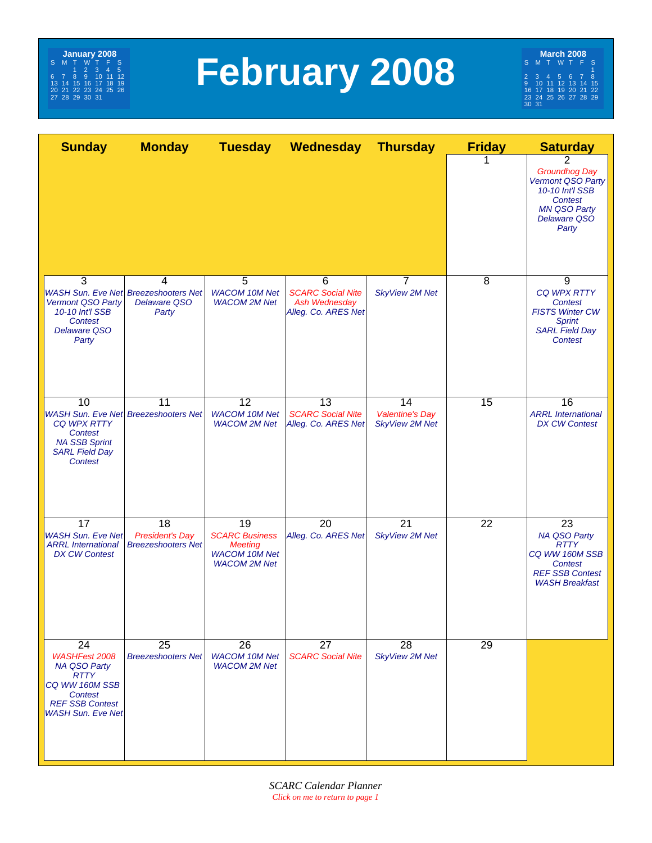

# **February 2008**

**March 2008** S MT WT F S  $\frac{1}{1}$ 2345678 9 10 11 12 13 14 15 16 17 18 19 20 21 22 23 24 25 26 27 28 29 30 31

| <b>Sunday</b>                                                                                                                                                           | <b>Monday</b>                                             |                                                                                              | Tuesday Wednesday                                                     | <b>Thursday</b>                                       | <b>Friday</b>   | <b>Saturday</b>                                                                                                                     |
|-------------------------------------------------------------------------------------------------------------------------------------------------------------------------|-----------------------------------------------------------|----------------------------------------------------------------------------------------------|-----------------------------------------------------------------------|-------------------------------------------------------|-----------------|-------------------------------------------------------------------------------------------------------------------------------------|
|                                                                                                                                                                         |                                                           |                                                                                              |                                                                       |                                                       |                 | 2<br><b>Groundhog Day</b><br>Vermont QSO Party<br>10-10 Int'l SSB<br><b>Contest</b><br><b>MN QSO Party</b><br>Delaware QSO<br>Party |
| $\overline{3}$<br><b>WASH Sun. Eve Net Breezeshooters Net</b><br>Vermont QSO Party<br>10-10 Int'l SSB<br>Contest<br><b>Delaware QSO</b><br>Party                        | $\overline{4}$<br><b>Delaware QSO</b><br>Party            | 5<br><b>WACOM 10M Net</b><br><b>WACOM 2M Net</b>                                             | 6<br><b>SCARC Social Nite</b><br>Ash Wednesday<br>Alleg. Co. ARES Net | $\overline{7}$<br><b>SkyView 2M Net</b>               | 8               | 9<br><b>CQ WPX RTTY</b><br>Contest<br><b>FISTS Winter CW</b><br><b>Sprint</b><br><b>SARL Field Day</b><br>Contest                   |
| 10<br><b>CQ WPX RTTY</b><br><b>Contest</b><br><b>NA SSB Sprint</b><br><b>SARL Field Day</b><br><b>Contest</b>                                                           | 11<br><b>WASH Sun. Eve Net Breezeshooters Net</b>         | $\overline{12}$<br><b>WACOM 10M Net</b><br><b>WACOM 2M Net</b>                               | 13<br><b>SCARC Social Nite</b><br>Alleg. Co. ARES Net                 | 14<br><b>Valentine's Day</b><br><b>SkyView 2M Net</b> | 15              | 16<br><b>ARRL</b> International<br><b>DX CW Contest</b>                                                                             |
| 17<br><b>WASH Sun. Eve Net</b><br><b>ARRL</b> International<br><b>DX CW Contest</b>                                                                                     | 18<br><b>President's Day</b><br><b>Breezeshooters Net</b> | 19<br><b>SCARC Business</b><br><b>Meeting</b><br><b>WACOM 10M Net</b><br><b>WACOM 2M Net</b> | 20<br>Alleg. Co. ARES Net                                             | $\overline{21}$<br><b>SkyView 2M Net</b>              | $\overline{22}$ | 23<br>NA QSO Party<br><b>RTTY</b><br>CQ WW 160M SSB<br>Contest<br><b>REF SSB Contest</b><br><b>WASH Breakfast</b>                   |
| $\overline{24}$<br><b>WASHFest 2008</b><br><b>NA QSO Party</b><br><b>RTTY</b><br>CQ WW 160M SSB<br><b>Contest</b><br><b>REF SSB Contest</b><br><b>WASH Sun. Eve Net</b> | 25<br><b>Breezeshooters Net</b>                           | $\overline{26}$<br><b>WACOM 10M Net</b><br><b>WACOM 2M Net</b>                               | $\overline{27}$<br><b>SCARC Social Nite</b>                           | $\overline{28}$<br><b>SkyView 2M Net</b>              | 29              |                                                                                                                                     |